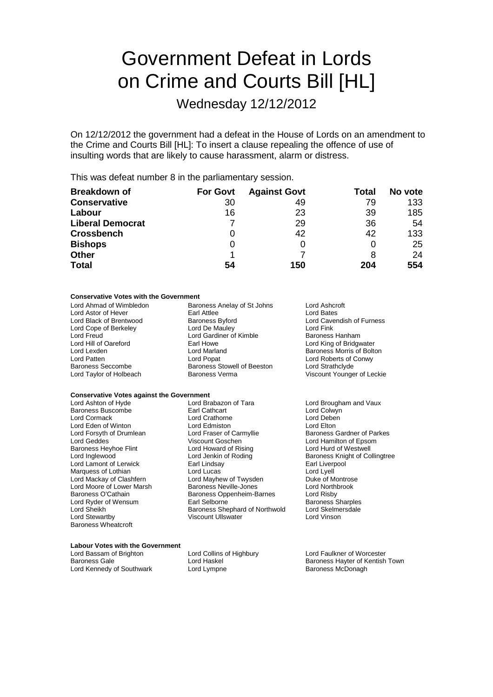# Government Defeat in Lords on Crime and Courts Bill [HL]

Wednesday 12/12/2012

On 12/12/2012 the government had a defeat in the House of Lords on an amendment to the Crime and Courts Bill [HL]: To insert a clause repealing the offence of use of insulting words that are likely to cause harassment, alarm or distress.

This was defeat number 8 in the parliamentary session.

| <b>Breakdown of</b>     | <b>For Govt</b> | <b>Against Govt</b> | Total | No vote |
|-------------------------|-----------------|---------------------|-------|---------|
| <b>Conservative</b>     | 30              | 49                  | 79    | 133     |
| Labour                  | 16              | 23                  | 39    | 185     |
| <b>Liberal Democrat</b> |                 | 29                  | 36    | 54      |
| <b>Crossbench</b>       | O               | 42                  | 42    | 133     |
| <b>Bishops</b>          | 0               |                     |       | 25      |
| <b>Other</b>            |                 |                     | 8     | 24      |
| <b>Total</b>            | 54              | 150                 | 204   | 554     |

#### **Conservative Votes with the Government**

| Lord Ahmad of Wimbledon  | Baroness Anelay of St Johns | Lord Ashcroft              |  |
|--------------------------|-----------------------------|----------------------------|--|
| Lord Astor of Hever      | Earl Attlee                 | Lord Bates                 |  |
| Lord Black of Brentwood  | <b>Baroness Byford</b>      | Lord Cavendish of Furness  |  |
| Lord Cope of Berkeley    | Lord De Mauley              | Lord Fink                  |  |
| Lord Freud               | Lord Gardiner of Kimble     | Baroness Hanham            |  |
| Lord Hill of Oareford    | Earl Howe                   | Lord King of Bridgwater    |  |
| Lord Lexden              | Lord Marland                | Baroness Morris of Bolton  |  |
| Lord Patten              | Lord Popat                  | Lord Roberts of Conwy      |  |
| <b>Baroness Seccombe</b> | Baroness Stowell of Beeston | Lord Strathclyde           |  |
| Lord Taylor of Holbeach  | <b>Baroness Verma</b>       | Viscount Younger of Leckie |  |
|                          |                             |                            |  |

### **Conservative Votes against the Government**<br>Lord Ashton of Hyde **Lord Brabazon of Tara**

| Lord Ashton of Hyde        |
|----------------------------|
| <b>Baroness Buscombe</b>   |
| Lord Cormack               |
| Lord Eden of Winton        |
| Lord Forsyth of Drumlean   |
| Lord Geddes                |
| Baroness Heyhoe Flint      |
| Lord Inglewood             |
| Lord Lamont of Lerwick     |
| Marquess of Lothian        |
| Lord Mackay of Clashfern   |
| Lord Moore of Lower Marsh  |
| Baroness O'Cathain         |
| Lord Ryder of Wensum       |
| Lord Sheikh                |
| Lord Stewartby             |
| <b>Baroness Wheatcroft</b> |

Lord Brabazon of Tara **Lord Brougham and Vaux**<br> **Earl Cathcart** Lord Colwon Lord Crathorne Lord Deben<br>
Lord Edmiston Lord Cleaner<br>
Lord Elton Lord Edmiston<br>Lord Fraser of Carmyllie Lord Fraser of Carmyllie **Baroness Gardner of Parkes**<br>
Viscount Goschen **Lord Hamilton** of Epsom Lord Howard of Rising<br>Lord Jenkin of Roding Lord Lamont of Lerwick Earl Lindsay Earl Liverpool Lord Mayhew of Twysden Duke of Montrose<br>
Baroness Neville-Jones Dura Lord Northbrook Baroness Neville-Jones Lord North<br>
Baroness Oppenheim-Barnes Lord Risby Baroness Oppenheim-Barnes<br>Earl Selborne Baroness Shephard of Northwold Viscount Ullswater Lord Vinson

Lord Colwyn<br>Lord Deben Lord Hamilton of Epsom<br>Lord Hurd of Westwell Baroness Knight of Collingtree Lord Lyell<br>Duke of Montrose Baroness Sharples<br>Lord Skelmersdale

### **Labour Votes with the Government**

Lord Kennedy of Southwark

Lord Collins of Highbury Lord Faulkner of Worcester

Baroness Gale **Lord Haskel** Lord Haskel Baroness Hayter of Kentish Town<br>
Lord Kennedy of Southwark Lord Lympne **Lorge Communist Communist Communist Communist Communist Communist Communist**